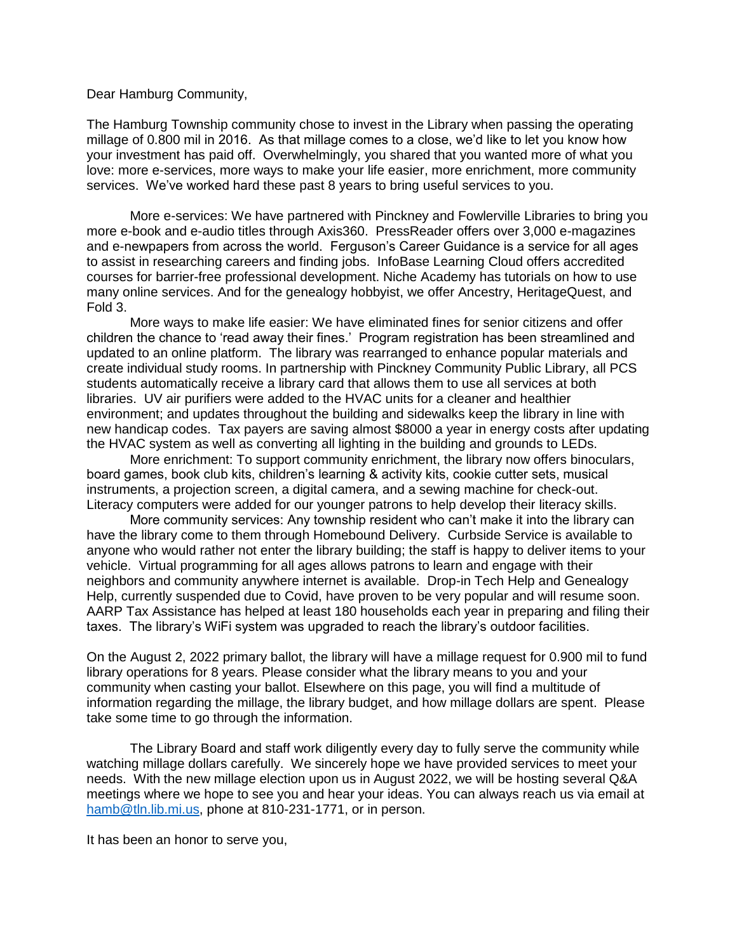## Dear Hamburg Community,

The Hamburg Township community chose to invest in the Library when passing the operating millage of 0.800 mil in 2016. As that millage comes to a close, we'd like to let you know how your investment has paid off. Overwhelmingly, you shared that you wanted more of what you love: more e-services, more ways to make your life easier, more enrichment, more community services. We've worked hard these past 8 years to bring useful services to you.

More e-services: We have partnered with Pinckney and Fowlerville Libraries to bring you more e-book and e-audio titles through Axis360. PressReader offers over 3,000 e-magazines and e-newpapers from across the world. Ferguson's Career Guidance is a service for all ages to assist in researching careers and finding jobs. InfoBase Learning Cloud offers accredited courses for barrier-free professional development. Niche Academy has tutorials on how to use many online services. And for the genealogy hobbyist, we offer Ancestry, HeritageQuest, and Fold 3.

More ways to make life easier: We have eliminated fines for senior citizens and offer children the chance to 'read away their fines.' Program registration has been streamlined and updated to an online platform. The library was rearranged to enhance popular materials and create individual study rooms. In partnership with Pinckney Community Public Library, all PCS students automatically receive a library card that allows them to use all services at both libraries. UV air purifiers were added to the HVAC units for a cleaner and healthier environment; and updates throughout the building and sidewalks keep the library in line with new handicap codes. Tax payers are saving almost \$8000 a year in energy costs after updating the HVAC system as well as converting all lighting in the building and grounds to LEDs.

More enrichment: To support community enrichment, the library now offers binoculars, board games, book club kits, children's learning & activity kits, cookie cutter sets, musical instruments, a projection screen, a digital camera, and a sewing machine for check-out. Literacy computers were added for our younger patrons to help develop their literacy skills.

More community services: Any township resident who can't make it into the library can have the library come to them through Homebound Delivery. Curbside Service is available to anyone who would rather not enter the library building; the staff is happy to deliver items to your vehicle. Virtual programming for all ages allows patrons to learn and engage with their neighbors and community anywhere internet is available. Drop-in Tech Help and Genealogy Help, currently suspended due to Covid, have proven to be very popular and will resume soon. AARP Tax Assistance has helped at least 180 households each year in preparing and filing their taxes. The library's WiFi system was upgraded to reach the library's outdoor facilities.

On the August 2, 2022 primary ballot, the library will have a millage request for 0.900 mil to fund library operations for 8 years. Please consider what the library means to you and your community when casting your ballot. Elsewhere on this page, you will find a multitude of information regarding the millage, the library budget, and how millage dollars are spent. Please take some time to go through the information.

The Library Board and staff work diligently every day to fully serve the community while watching millage dollars carefully. We sincerely hope we have provided services to meet your needs. With the new millage election upon us in August 2022, we will be hosting several Q&A meetings where we hope to see you and hear your ideas. You can always reach us via email at [hamb@tln.lib.mi.us,](mailto:hamb@tln.lib.mi.us) phone at 810-231-1771, or in person.

It has been an honor to serve you,